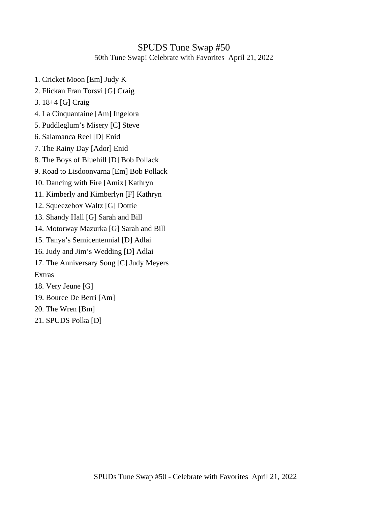#### SPUDS Tune Swap #50 50th Tune Swap! Celebrate with Favorites April 21, 2022

- 1. Cricket Moon [Em] Judy K
- 2. Flickan Fran Torsvi [G] Craig
- 3. 18+4 [G] Craig
- 4. La Cinquantaine [Am] Ingelora
- 5. Puddleglum's Misery [C] Steve
- 6. Salamanca Reel [D] Enid
- 7. The Rainy Day [Ador] Enid
- 8. The Boys of Bluehill [D] Bob Pollack
- 9. Road to Lisdoonvarna [Em] Bob Pollack
- 10. Dancing with Fire [Amix] Kathryn
- 11. Kimberly and Kimberlyn [F] Kathryn
- 12. Squeezebox Waltz [G] Dottie
- 13. Shandy Hall [G] Sarah and Bill
- 14. Motorway Mazurka [G] Sarah and Bill
- 15. Tanya's Semicentennial [D] Adlai
- 16. Judy and Jim's Wedding [D] Adlai
- 17. The Anniversary Song [C] Judy Meyers
- Extras
- 18. Very Jeune [G]
- 19. Bouree De Berri [Am]
- 20. The Wren [Bm]
- 21. SPUDS Polka [D]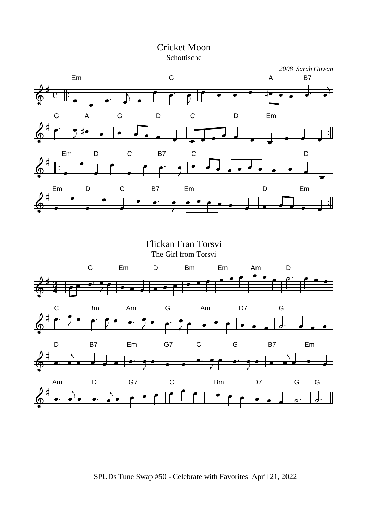



Flickan Fran Torsvi The Girl from Torsvi G Em D Bm Em Am D **3 4** C Bm Am G Am D7 G D B7 Em G7 C G B7 Em ತ Am D G7 C Bm D7 G G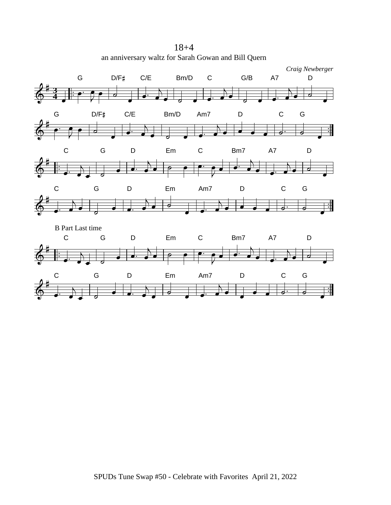18+4 an anniversary waltz for Sarah Gowan and Bill Quern

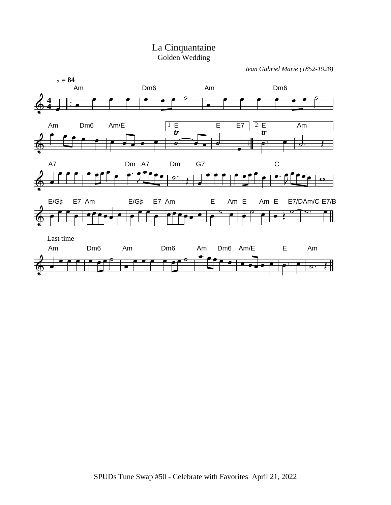

*Jean Gabriel Marie (1852-1928)*

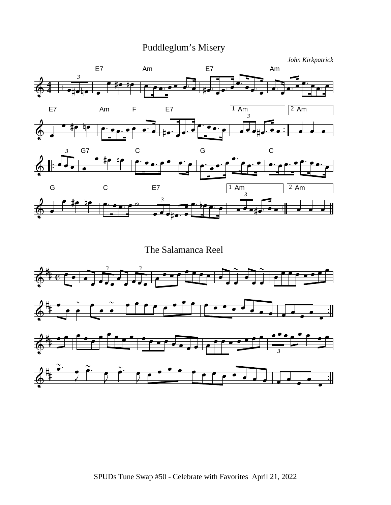# Puddleglum's Misery

*John Kirkpatrick*



The Salamanca Reel

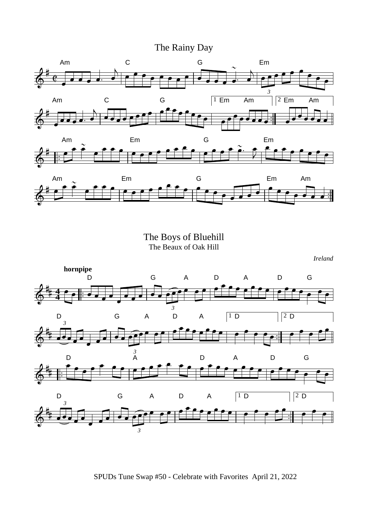### The Rainy Day



The Boys of Bluehill The Beaux of Oak Hill

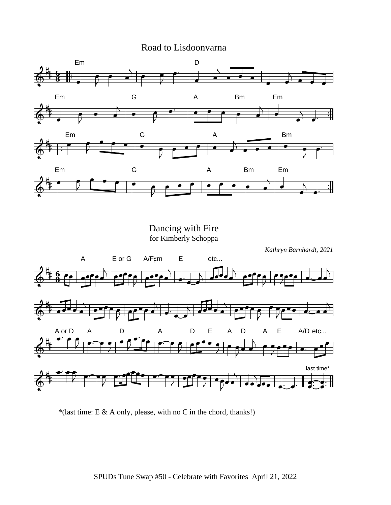#### Road to Lisdoonvarna



\*(last time: E & A only, please, with no C in the chord, thanks!)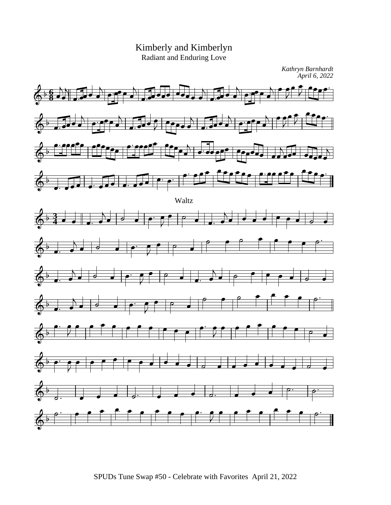

Kimberly and Kimberlyn Radiant and Enduring Love

SPUDs Tune Swap #50 - Celebrate with Favorites April 21, 2022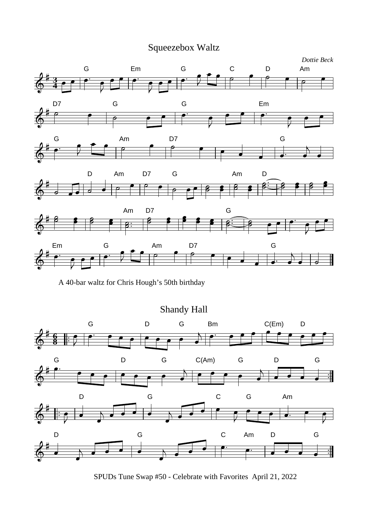# Squeezebox Waltz



A 40-bar waltz for Chris Hough's 50th birthday



SPUDs Tune Swap #50 - Celebrate with Favorites April 21, 2022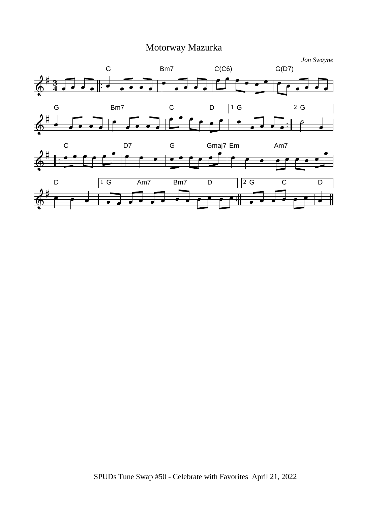# Motorway Mazurka

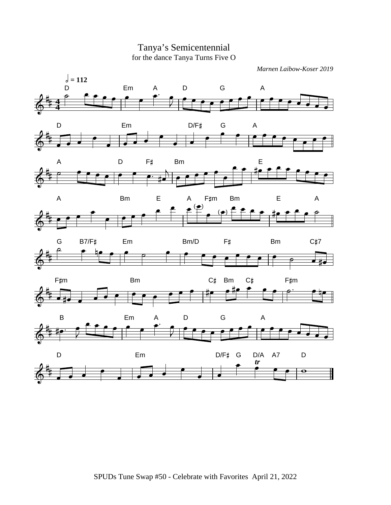

#### Tanya's Semicentennial for the dance Tanya Turns Five O

*Marnen Laibow-Koser 2019*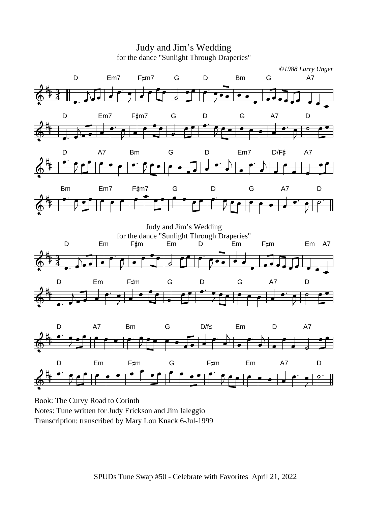

Judy and Jim's Wedding

Notes: Tune written for Judy Erickson and Jim Ialeggio Transcription: transcribed by Mary Lou Knack 6-Jul-1999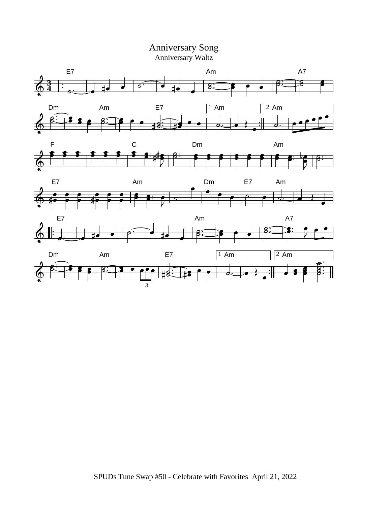#### Anniversary Song Anniversary Waltz











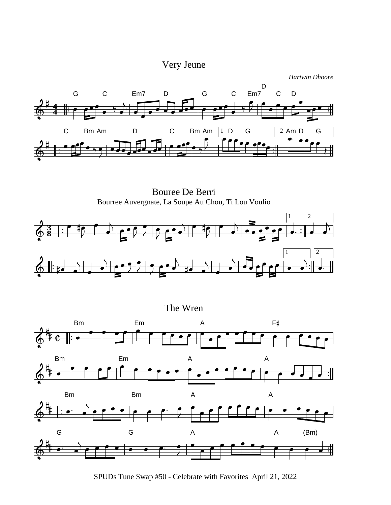# Very Jeune

*Hartwin Dhoore*



Bouree De Berri Bourree Auvergnate, La Soupe Au Chou, Ti Lou Voulio



The Wren







SPUDs Tune Swap #50 - Celebrate with Favorites April 21, 2022